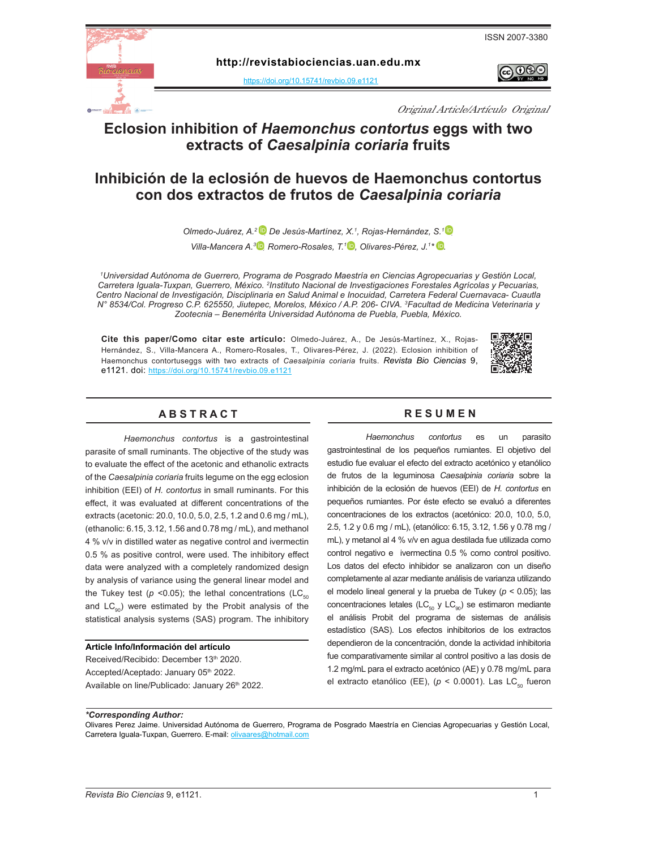



**http:[/](https://doi.org/10.15741/revbio.07.e875 )/revistabiociencias.uan.edu.mx** 

https://doi.org/10.15741/revbio.09.e1121

നങ്

Original Article/Artículo Original

## **Eclosion inhibition of** *Haemonchus contortus* **eggs with two extracts of** *Caesalpinia coriaria* **fruits**

### **Inhibición de la eclosión de huevos de Haemonchus contortus con dos extractos de frutos de** *Caesalpinia coriaria*

*Olmedo-Juárez, A.<sup>2</sup> <sup>D</sup>, De Jesús-Martínez, X.<sup>1</sup>, Rojas-Hernández, S.<sup>1</sup> <sup>D</sup>, Villa-Mancera A.<sup>3</sup> D</sup>, Romero-Rosales, T.<sup>1</sup> D, Olivares-Pérez, J.<sup>1\*</sup> D.* 

*1 Universidad Autónoma de Guerrero, Programa de Posgrado Maestría en Ciencias Agropecuarias y Gestión Local,*  Carretera Iguala-Tuxpan, Guerrero, México. <sup>2</sup>Instituto Nacional de Investigaciones Forestales Agrícolas y Pecuarias, *Centro Nacional de Investigación, Disciplinaria en Salud Animal e Inocuidad, Carretera Federal Cuernavaca- Cuautla N° 8534/Col. Progreso C.P. 625550, Jiutepec, Morelos, México / A.P. 206- CIVA. 3 Facultad de Medicina Veterinaria y Zootecnia – Benemérita Universidad Autónoma de Puebla, Puebla, México.*

**Cite this paper/Como citar este artículo:** Olmedo-Juárez, A., De Jesús-Martínez, X., Rojas-Hernández, S., Villa-Mancera A., Romero-Rosales, T., Olivares-Pérez, J. (2022). Eclosion inhibition of Haemonchus contortuseggs with two extracts of *C[ae](https://doi.org/10.15741/revbio.09.e1121)salpinia coriaria* fruits. *[Revista Bio Ciencias](doi: https://doi.org/10.15741/revbio.08.e982
)* 9, [e1121. doi:](doi: https://doi.org/10.15741/revbio.08.e982
) https://doi.org/10.15741/revbio.09.e1121



#### **A B S T R A C T R E S U M E N**

*Haemonchus contortus* is a gastrointestinal parasite of small ruminants. The objective of the study was to evaluate the effect of the acetonic and ethanolic extracts of the *Caesalpinia coriaria* fruits legume on the egg eclosion inhibition (EEI) of *H. contortus* in small ruminants. For this effect, it was evaluated at different concentrations of the extracts (acetonic: 20.0, 10.0, 5.0, 2.5, 1.2 and 0.6 mg / mL), (ethanolic: 6.15, 3.12, 1.56 and 0.78 mg / mL), and methanol 4 % v/v in distilled water as negative control and ivermectin 0.5 % as positive control, were used. The inhibitory effect data were analyzed with a completely randomized design by analysis of variance using the general linear model and the Tukey test ( $p$  <0.05); the lethal concentrations (LC $_{50}$ and  $LC_{\text{on}}$ ) were estimated by the Probit analysis of the statistical analysis systems (SAS) program. The inhibitory

#### **Article Info/Información del artículo**

Received/Recibido: December 13th 2020. Accepted/Aceptado: January 05th 2022. Available on line/Publicado: January 26<sup>th</sup> 2022.

*Haemonchus contortus* es un parasito gastrointestinal de los pequeños rumiantes. El objetivo del estudio fue evaluar el efecto del extracto acetónico y etanólico de frutos de la leguminosa *Caesalpinia coriaria* sobre la inhibición de la eclosión de huevos (EEI) de *H. contortus* en pequeños rumiantes. Por éste efecto se evaluó a diferentes concentraciones de los extractos (acetónico: 20.0, 10.0, 5.0, 2.5, 1.2 y 0.6 mg / mL), (etanólico: 6.15, 3.12, 1.56 y 0.78 mg / mL), y metanol al 4 % v/v en agua destilada fue utilizada como control negativo e ivermectina 0.5 % como control positivo. Los datos del efecto inhibidor se analizaron con un diseño completamente al azar mediante análisis de varianza utilizando el modelo lineal general y la prueba de Tukey (*p* < 0.05); las concentraciones letales ( $LC_{50}$  y  $LC_{90}$ ) se estimaron mediante el análisis Probit del programa de sistemas de análisis estadístico (SAS). Los efectos inhibitorios de los extractos dependieron de la concentración, donde la actividad inhibitoria fue comparativamente similar al control positivo a las dosis de 1.2 mg/mL para el extracto acetónico (AE) y 0.78 mg/mL para el extracto etanólico (EE), (p < 0.0001). Las LC<sub>50</sub> fueron

*\*Corresponding Author:* 

Olivares Perez Jaime. Universidad Autónoma de Guerrero, Programa de Posgrado Maestría en Ciencias Agropecuarias y Gestión Local, Carretera Iguala-Tuxpan, Guerrero. E-mail: [olivaares@hotmail.com](mailto:olivaares%40hotmail.com?subject=)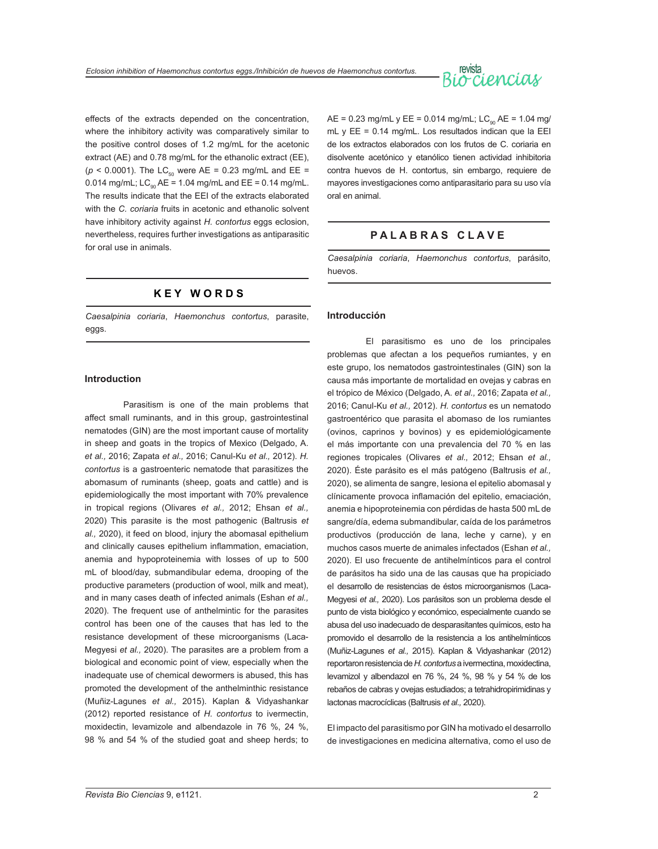# revista<br>Ociencias

effects of the extracts depended on the concentration, where the inhibitory activity was comparatively similar to the positive control doses of 1.2 mg/mL for the acetonic extract (AE) and 0.78 mg/mL for the ethanolic extract (EE),  $(p < 0.0001)$ . The LC<sub>50</sub> were AE = 0.23 mg/mL and EE = 0.014 mg/mL;  $LC_{0.9}$  AE = 1.04 mg/mL and EE = 0.14 mg/mL. The results indicate that the EEI of the extracts elaborated with the *C. coriaria* fruits in acetonic and ethanolic solvent have inhibitory activity against *H. contortus* eggs eclosion, nevertheless, requires further investigations as antiparasitic for oral use in animals.

### **K E Y W O R D S**

*Caesalpinia coriaria*, *Haemonchus contortus*, parasite, eggs.

#### **Introduction**

Parasitism is one of the main problems that affect small ruminants, and in this group, gastrointestinal nematodes (GIN) are the most important cause of mortality in sheep and goats in the tropics of Mexico (Delgado, A. *et al.,* 2016; Zapata *et al.,* 2016; Canul-Ku *et al.,* 2012). *H. contortus* is a gastroenteric nematode that parasitizes the abomasum of ruminants (sheep, goats and cattle) and is epidemiologically the most important with 70% prevalence in tropical regions (Olivares *et al.,* 2012; Ehsan *et al.,* 2020) This parasite is the most pathogenic (Baltrusis *et al.,* 2020), it feed on blood, injury the abomasal epithelium and clinically causes epithelium inflammation, emaciation, anemia and hypoproteinemia with losses of up to 500 mL of blood/day, submandibular edema, drooping of the productive parameters (production of wool, milk and meat), and in many cases death of infected animals (Eshan *et al.,* 2020). The frequent use of anthelmintic for the parasites control has been one of the causes that has led to the resistance development of these microorganisms (Laca-Megyesi *et al.,* 2020). The parasites are a problem from a biological and economic point of view, especially when the inadequate use of chemical dewormers is abused, this has promoted the development of the anthelminthic resistance (Muñiz-Lagunes *et al.,* 2015). Kaplan & Vidyashankar (2012) reported resistance of *H. contortus* to ivermectin, moxidectin, levamizole and albendazole in 76 %, 24 %, 98 % and 54 % of the studied goat and sheep herds; to  $AE = 0.23$  mg/mL y  $EE = 0.014$  mg/mL;  $LC_{0.0}$   $AE = 1.04$  mg/ mL y EE = 0.14 mg/mL. Los resultados indican que la EEI de los extractos elaborados con los frutos de C. coriaria en disolvente acetónico y etanólico tienen actividad inhibitoria contra huevos de H. contortus, sin embargo, requiere de mayores investigaciones como antiparasitario para su uso vía oral en animal.

### **P A L A B R A S C L A V E**

*Caesalpinia coriaria*, *Haemonchus contortus*, parásito, huevos.

#### **Introducción**

El parasitismo es uno de los principales problemas que afectan a los pequeños rumiantes, y en este grupo, los nematodos gastrointestinales (GIN) son la causa más importante de mortalidad en ovejas y cabras en el trópico de México (Delgado, A. *et al.,* 2016; Zapata *et al.,* 2016; Canul-Ku *et al.,* 2012). *H. contortus* es un nematodo gastroentérico que parasita el abomaso de los rumiantes (ovinos, caprinos y bovinos) y es epidemiológicamente el más importante con una prevalencia del 70 % en las regiones tropicales (Olivares *et al.,* 2012; Ehsan *et al.,* 2020). Éste parásito es el más patógeno (Baltrusis *et al.,* 2020), se alimenta de sangre, lesiona el epitelio abomasal y clínicamente provoca inflamación del epitelio, emaciación, anemia e hipoproteinemia con pérdidas de hasta 500 mL de sangre/día, edema submandibular, caída de los parámetros productivos (producción de lana, leche y carne), y en muchos casos muerte de animales infectados (Eshan *et al.,* 2020). El uso frecuente de antihelmínticos para el control de parásitos ha sido una de las causas que ha propiciado el desarrollo de resistencias de éstos microorganismos (Laca-Megyesi *et al.,* 2020). Los parásitos son un problema desde el punto de vista biológico y económico, especialmente cuando se abusa del uso inadecuado de desparasitantes químicos, esto ha promovido el desarrollo de la resistencia a los antihelmínticos (Muñiz-Lagunes *et al.,* 2015). Kaplan & Vidyashankar (2012) reportaron resistencia de *H. contortus* a ivermectina, moxidectina, levamizol y albendazol en 76 %, 24 %, 98 % y 54 % de los rebaños de cabras y ovejas estudiados; a tetrahidropirimidinas y lactonas macrocíclicas (Baltrusis *et al.,* 2020).

El impacto del parasitismo por GIN ha motivado el desarrollo de investigaciones en medicina alternativa, como el uso de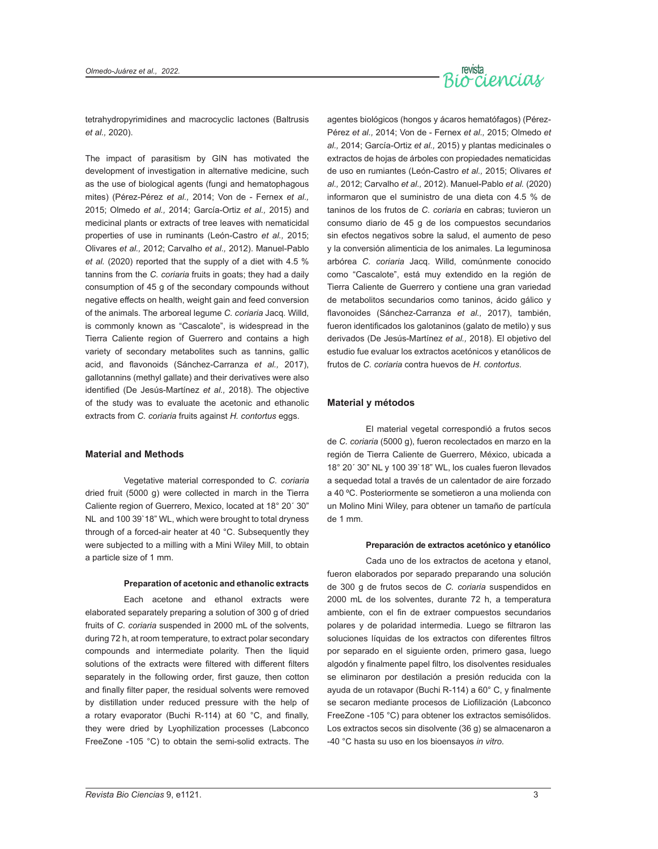

tetrahydropyrimidines and macrocyclic lactones (Baltrusis *et al.,* 2020).

The impact of parasitism by GIN has motivated the development of investigation in alternative medicine, such as the use of biological agents (fungi and hematophagous mites) (Pérez-Pérez *et al.,* 2014; Von de - Fernex *et al.,* 2015; Olmedo *et al.,* 2014; García-Ortiz *et al.,* 2015) and medicinal plants or extracts of tree leaves with nematicidal properties of use in ruminants (León-Castro *et al.,* 2015; Olivares *et al.,* 2012; Carvalho *et al.,* 2012). Manuel-Pablo *et al.* (2020) reported that the supply of a diet with 4.5 % tannins from the *C. coriaria* fruits in goats; they had a daily consumption of 45 g of the secondary compounds without negative effects on health, weight gain and feed conversion of the animals. The arboreal legume *C. coriaria* Jacq. Willd, is commonly known as "Cascalote", is widespread in the Tierra Caliente region of Guerrero and contains a high variety of secondary metabolites such as tannins, gallic acid, and flavonoids (Sánchez-Carranza *et al.,* 2017), gallotannins (methyl gallate) and their derivatives were also identified (De Jesús-Martínez *et al.,* 2018). The objective of the study was to evaluate the acetonic and ethanolic extracts from *C. coriaria* fruits against *H. contortus* eggs.

#### **Material and Methods**

Vegetative material corresponded to *C. coriaria* dried fruit (5000 g) were collected in march in the Tierra Caliente region of Guerrero, Mexico, located at 18° 20´ 30" NL and 100 39`18" WL, which were brought to total dryness through of a forced-air heater at 40 °C. Subsequently they were subjected to a milling with a Mini Wiley Mill, to obtain a particle size of 1 mm.

#### **Preparation of acetonic and ethanolic extracts**

Each acetone and ethanol extracts were elaborated separately preparing a solution of 300 g of dried fruits of *C. coriaria* suspended in 2000 mL of the solvents, during 72 h, at room temperature, to extract polar secondary compounds and intermediate polarity. Then the liquid solutions of the extracts were filtered with different filters separately in the following order, first gauze, then cotton and finally filter paper, the residual solvents were removed by distillation under reduced pressure with the help of a rotary evaporator (Buchi R-114) at 60 °C, and finally, they were dried by Lyophilization processes (Labconco FreeZone -105 °C) to obtain the semi-solid extracts. The agentes biológicos (hongos y ácaros hematófagos) (Pérez-Pérez *et al.,* 2014; Von de - Fernex *et al.,* 2015; Olmedo *et al.,* 2014; García-Ortiz *et al.,* 2015) y plantas medicinales o extractos de hojas de árboles con propiedades nematicidas de uso en rumiantes (León-Castro *et al.,* 2015; Olivares *et al.,* 2012; Carvalho *et al.,* 2012). Manuel-Pablo *et al.* (2020) informaron que el suministro de una dieta con 4.5 % de taninos de los frutos de *C. coriaria* en cabras; tuvieron un consumo diario de 45 g de los compuestos secundarios sin efectos negativos sobre la salud, el aumento de peso y la conversión alimenticia de los animales. La leguminosa arbórea *C. coriaria* Jacq. Willd, comúnmente conocido como "Cascalote", está muy extendido en la región de Tierra Caliente de Guerrero y contiene una gran variedad de metabolitos secundarios como taninos, ácido gálico y flavonoides (Sánchez-Carranza *et al.,* 2017), también, fueron identificados los galotaninos (galato de metilo) y sus derivados (De Jesús-Martínez *et al.,* 2018). El objetivo del estudio fue evaluar los extractos acetónicos y etanólicos de frutos de *C. coriaria* contra huevos de *H. contortus*.

#### **Material y métodos**

El material vegetal correspondió a frutos secos de *C. coriaria* (5000 g), fueron recolectados en marzo en la región de Tierra Caliente de Guerrero, México, ubicada a 18° 20´ 30" NL y 100 39`18" WL, los cuales fueron llevados a sequedad total a través de un calentador de aire forzado a 40 ºC. Posteriormente se sometieron a una molienda con un Molino Mini Wiley, para obtener un tamaño de partícula de 1 mm.

#### **Preparación de extractos acetónico y etanólico**

Cada uno de los extractos de acetona y etanol, fueron elaborados por separado preparando una solución de 300 g de frutos secos de *C. coriaria* suspendidos en 2000 mL de los solventes, durante 72 h, a temperatura ambiente, con el fin de extraer compuestos secundarios polares y de polaridad intermedia. Luego se filtraron las soluciones líquidas de los extractos con diferentes filtros por separado en el siguiente orden, primero gasa, luego algodón y finalmente papel filtro, los disolventes residuales se eliminaron por destilación a presión reducida con la ayuda de un rotavapor (Buchi R-114) a 60° C, y finalmente se secaron mediante procesos de Liofilización (Labconco FreeZone -105 °C) para obtener los extractos semisólidos. Los extractos secos sin disolvente (36 g) se almacenaron a -40 °C hasta su uso en los bioensayos *in vitro*.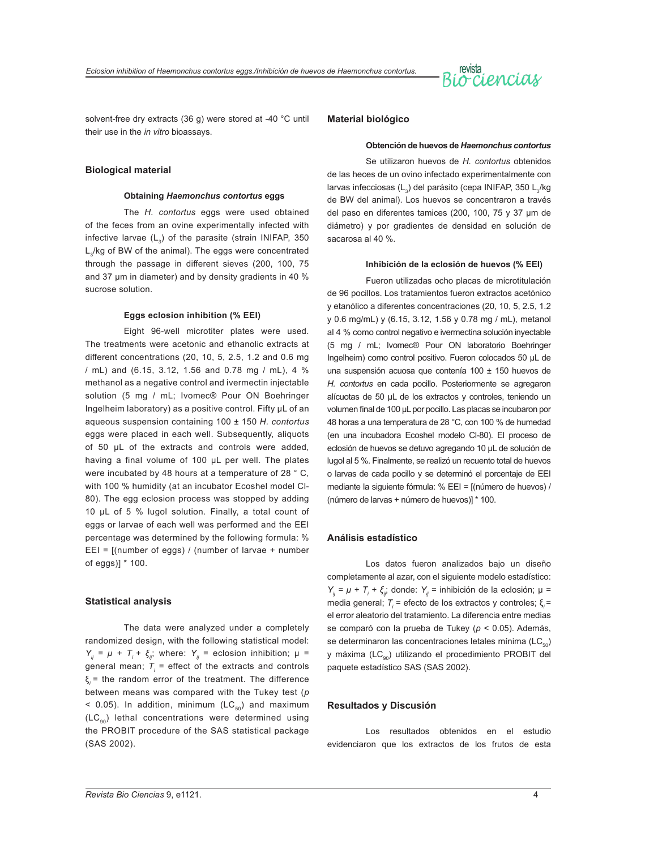

solvent-free dry extracts (36 g) were stored at -40 °C until their use in the *in vitro* bioassays.

#### **Biological material**

#### **Obtaining** *Haemonchus contortus* **eggs**

The *H. contortus* eggs were used obtained of the feces from an ovine experimentally infected with infective larvae  $(L_2)$  of the parasite (strain INIFAP, 350 L<sub>3</sub>/kg of BW of the animal). The eggs were concentrated through the passage in different sieves (200, 100, 75 and 37 μm in diameter) and by density gradients in 40 % sucrose solution.

#### **Eggs eclosion inhibition (% EEI)**

Eight 96-well microtiter plates were used. The treatments were acetonic and ethanolic extracts at different concentrations (20, 10, 5, 2.5, 1.2 and 0.6 mg / mL) and (6.15, 3.12, 1.56 and 0.78 mg / mL), 4 % methanol as a negative control and ivermectin injectable solution (5 mg / mL; Ivomec® Pour ON Boehringer Ingelheim laboratory) as a positive control. Fifty µL of an aqueous suspension containing 100 ± 150 *H. contortus* eggs were placed in each well. Subsequently, aliquots of 50 μL of the extracts and controls were added, having a final volume of 100 μL per well. The plates were incubated by 48 hours at a temperature of 28 ° C, with 100 % humidity (at an incubator Ecoshel model Cl-80). The egg eclosion process was stopped by adding 10 μL of 5 % lugol solution. Finally, a total count of eggs or larvae of each well was performed and the EEI percentage was determined by the following formula: % EEI = [(number of eggs) / (number of larvae + number of eggs)] \* 100.

#### **Statistical analysis**

The data were analyzed under a completely randomized design, with the following statistical model: *Y<sub>ij</sub>* =  $\mu$  + *T<sub>i</sub>* + *ξ<sub>ij</sub>*; where: *Y<sub>ij</sub>* = eclosion inhibition;  $\mu$  = general mean;  $T_{\scriptscriptstyle{f}}$  = effect of the extracts and controls ξ*<sup>i</sup>* = the random error of the treatment. The difference between means was compared with the Tukey test (*p*  $<$  0.05). In addition, minimum (LC $_{50}$ ) and maximum  $(LC_{00})$  lethal concentrations were determined using the PROBIT procedure of the SAS statistical package (SAS 2002).

#### **Material biológico**

#### **Obtención de huevos de** *Haemonchus contortus*

Se utilizaron huevos de *H. contortus* obtenidos de las heces de un ovino infectado experimentalmente con larvas infecciosas (L<sub>3</sub>) del parásito (cepa INIFAP, 350 L<sub>3</sub>/kg de BW del animal). Los huevos se concentraron a través del paso en diferentes tamices (200, 100, 75 y 37 μm de diámetro) y por gradientes de densidad en solución de sacarosa al 40 %.

#### **Inhibición de la eclosión de huevos (% EEI)**

Fueron utilizadas ocho placas de microtitulación de 96 pocillos. Los tratamientos fueron extractos acetónico y etanólico a diferentes concentraciones (20, 10, 5, 2.5, 1.2 y 0.6 mg/mL) y (6.15, 3.12, 1.56 y 0.78 mg / mL), metanol al 4 % como control negativo e ivermectina solución inyectable (5 mg / mL; Ivomec® Pour ON laboratorio Boehringer Ingelheim) como control positivo. Fueron colocados 50 µL de una suspensión acuosa que contenía 100 ± 150 huevos de *H. contortus* en cada pocillo. Posteriormente se agregaron alícuotas de 50 μL de los extractos y controles, teniendo un volumen final de 100 μL por pocillo. Las placas se incubaron por 48 horas a una temperatura de 28 °C, con 100 % de humedad (en una incubadora Ecoshel modelo Cl-80). El proceso de eclosión de huevos se detuvo agregando 10 μL de solución de lugol al 5 %. Finalmente, se realizó un recuento total de huevos o larvas de cada pocillo y se determinó el porcentaje de EEI mediante la siguiente fórmula: % EEI = [(número de huevos) / (número de larvas + número de huevos)] \* 100.

#### **Análisis estadístico**

Los datos fueron analizados bajo un diseño completamente al azar, con el siguiente modelo estadístico: *Y<sub>ij</sub>* = *μ* + *T<sub>i</sub>* + *ξ<sub>ij</sub>*; donde: *Y<sub>ij</sub>* = inhibición de la eclosión; μ = media general; *T<sub>i</sub>* = efecto de los extractos y controles; ξ<sub>i</sub> = el error aleatorio del tratamiento. La diferencia entre medias se comparó con la prueba de Tukey (*p* < 0.05). Además, se determinaron las concentraciones letales mínima ( $\mathsf{LC}_{\scriptscriptstyle{50}}$ ) y máxima (LC<sub>oo</sub>) utilizando el procedimiento PROBIT del paquete estadístico SAS (SAS 2002).

#### **Resultados y Discusión**

Los resultados obtenidos en el estudio evidenciaron que los extractos de los frutos de esta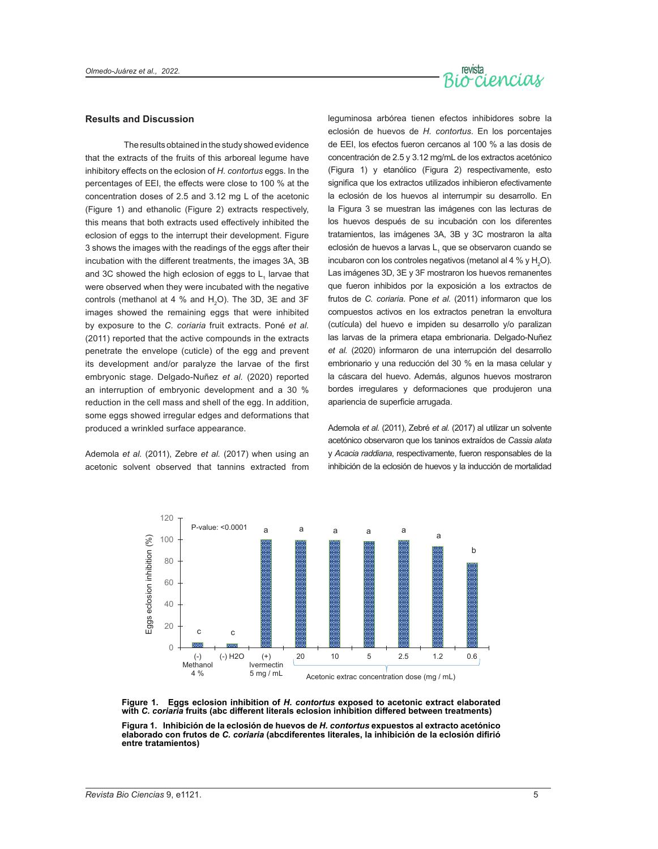

#### **Results and Discussion**

The results obtained in the study showed evidence that the extracts of the fruits of this arboreal legume have inhibitory effects on the eclosion of *H. contortus* eggs. In the percentages of EEI, the effects were close to 100 % at the concentration doses of 2.5 and 3.12 mg L of the acetonic (Figure 1) and ethanolic (Figure 2) extracts respectively, this means that both extracts used effectively inhibited the eclosion of eggs to the interrupt their development. Figure 3 shows the images with the readings of the eggs after their incubation with the different treatments, the images 3A, 3B and 3C showed the high eclosion of eggs to  $\mathsf{L}_\mathsf{1}$  larvae that were observed when they were incubated with the negative controls (methanol at 4 % and  $H_2O$ ). The 3D, 3E and 3F images showed the remaining eggs that were inhibited by exposure to the *C. coriaria* fruit extracts. Poné *et al.* (2011) reported that the active compounds in the extracts penetrate the envelope (cuticle) of the egg and prevent its development and/or paralyze the larvae of the first embryonic stage. Delgado-Nuñez *et al.* (2020) reported an interruption of embryonic development and a 30 % reduction in the cell mass and shell of the egg. In addition, some eggs showed irregular edges and deformations that produced a wrinkled surface appearance.

Ademola *et al.* (2011), Zebre *et al.* (2017) when using an acetonic solvent observed that tannins extracted from

leguminosa arbórea tienen efectos inhibidores sobre la eclosión de huevos de *H. contortus*. En los porcentajes de EEI, los efectos fueron cercanos al 100 % a las dosis de concentración de 2.5 y 3.12 mg/mL de los extractos acetónico (Figura 1) y etanólico (Figura 2) respectivamente, esto significa que los extractos utilizados inhibieron efectivamente la eclosión de los huevos al interrumpir su desarrollo. En la Figura 3 se muestran las imágenes con las lecturas de los huevos después de su incubación con los diferentes tratamientos, las imágenes 3A, 3B y 3C mostraron la alta eclosión de huevos a larvas L<sub>1</sub> que se observaron cuando se incubaron con los controles negativos (metanol al 4 % y  $H_2$ O). Las imágenes 3D, 3E y 3F mostraron los huevos remanentes que fueron inhibidos por la exposición a los extractos de frutos de *C. coriaria*. Pone *et al.* (2011) informaron que los compuestos activos en los extractos penetran la envoltura (cutícula) del huevo e impiden su desarrollo y/o paralizan las larvas de la primera etapa embrionaria. Delgado-Nuñez *et al.* (2020) informaron de una interrupción del desarrollo embrionario y una reducción del 30 % en la masa celular y la cáscara del huevo. Además, algunos huevos mostraron bordes irregulares y deformaciones que produjeron una apariencia de superficie arrugada.

Ademola *et al.* (2011), Zebré *et al.* (2017) al utilizar un solvente acetónico observaron que los taninos extraídos de *Cassia alata*  y *Acacia raddiana*, respectivamente, fueron responsables de la inhibición de la eclosión de huevos y la inducción de mortalidad



**Figure 1. Eggs eclosion inhibition of** *H. contortus* **exposed to acetonic extract elaborated with** *C. coriaria* **fruits (abc different literals eclosion inhibition differed between treatments)**

**Figura 1. Inhibición de la eclosión de huevos de** *H. contortus* **expuestos al extracto acetónico elaborado con frutos de** *C. coriaria* **(abcdiferentes literales, la inhibición de la eclosión difirió entre tratamientos)**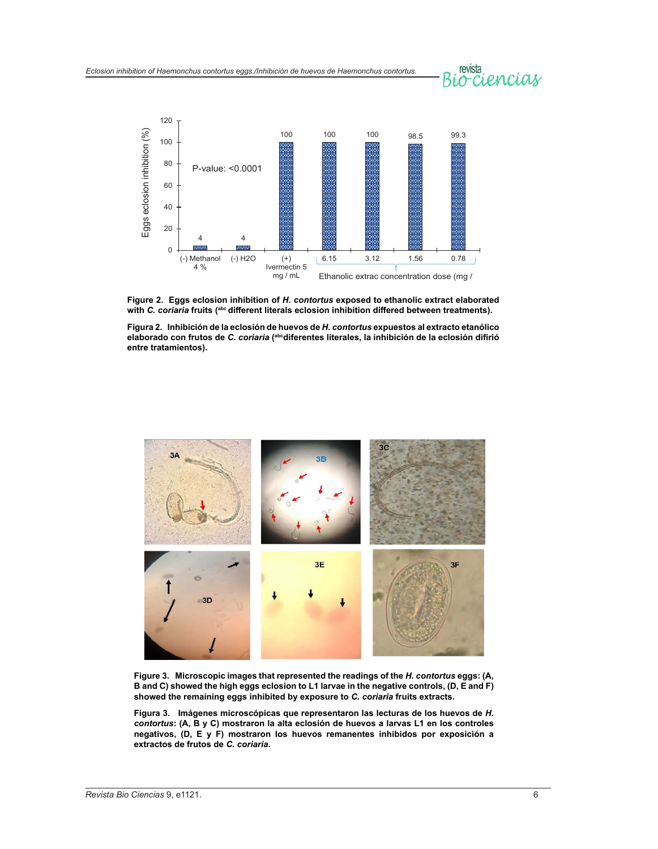# revista<br>Occiencias



**Figure 2. Eggs eclosion inhibition of** *H. contortus* **exposed to ethanolic extract elaborated**  with *C. coriaria* fruits (<sup>abc</sup> different literals eclosion inhibition differed between treatments).

**Figura 2. Inhibición de la eclosión de huevos de** *H. contortus* **expuestos al extracto etanólico elaborado con frutos de** *C. coriaria* **(abcdiferentes literales, la inhibición de la eclosión difirió entre tratamientos).**



**Figure 3. Microscopic images that represented the readings of the** *H. contortus* **eggs: (A, B and C) showed the high eggs eclosion to L1 larvae in the negative controls, (D, E and F) showed the remaining eggs inhibited by exposure to** *C. coriaria* **fruits extracts.**

**Figura 3. Imágenes microscópicas que representaron las lecturas de los huevos de** *H. contortus***: (A, B y C) mostraron la alta eclosión de huevos a larvas L1 en los controles negativos, (D, E y F) mostraron los huevos remanentes inhibidos por exposición a extractos de frutos de** *C. coriaria***.**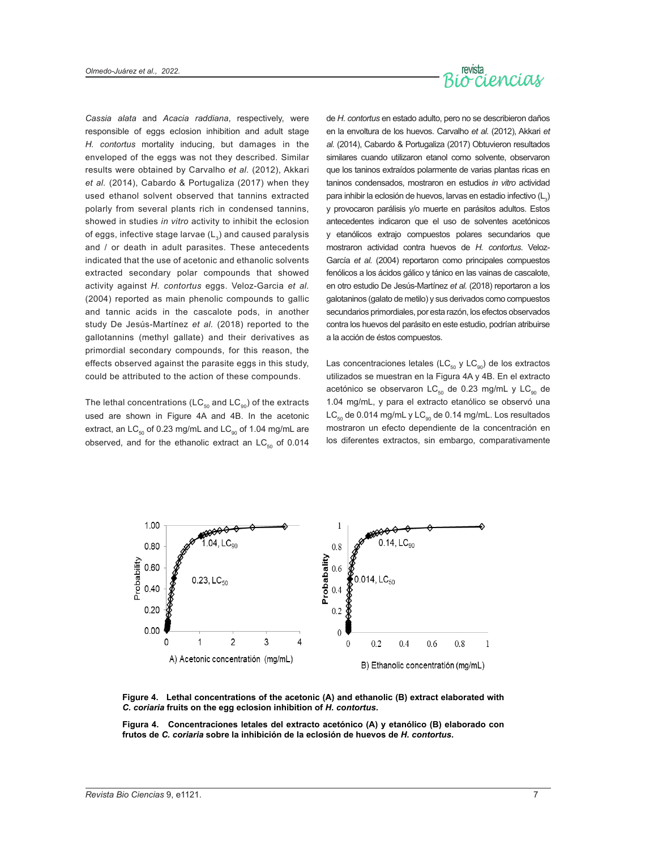

*Cassia alata* and *Acacia raddiana*, respectively, were responsible of eggs eclosion inhibition and adult stage *H. contortus* mortality inducing, but damages in the enveloped of the eggs was not they described. Similar results were obtained by Carvalho *et al.* (2012), Akkari *et al.* (2014), Cabardo & Portugaliza (2017) when they used ethanol solvent observed that tannins extracted polarly from several plants rich in condensed tannins, showed in studies *in vitro* activity to inhibit the eclosion of eggs, infective stage larvae  $(L<sub>3</sub>)$  and caused paralysis and / or death in adult parasites. These antecedents indicated that the use of acetonic and ethanolic solvents extracted secondary polar compounds that showed activity against *H. contortus* eggs. Veloz-Garcia *et al.* (2004) reported as main phenolic compounds to gallic and tannic acids in the cascalote pods, in another study De Jesús-Martínez *et al.* (2018) reported to the gallotannins (methyl gallate) and their derivatives as primordial secondary compounds, for this reason, the effects observed against the parasite eggs in this study, could be attributed to the action of these compounds.

The lethal concentrations (LC $_{50}$  and LC $_{90}$ ) of the extracts used are shown in Figure 4A and 4B. In the acetonic extract, an LC $_{50}$  of 0.23 mg/mL and LC $_{90}$  of 1.04 mg/mL are observed, and for the ethanolic extract an  $LC_{50}$  of 0.014

de *H. contortus* en estado adulto, pero no se describieron daños en la envoltura de los huevos. Carvalho *et al.* (2012), Akkari *et al.* (2014), Cabardo & Portugaliza (2017) Obtuvieron resultados similares cuando utilizaron etanol como solvente, observaron que los taninos extraídos polarmente de varias plantas ricas en taninos condensados, mostraron en estudios *in vitro* actividad para inhibir la eclosión de huevos, larvas en estadio infectivo (L $_{3})$ y provocaron parálisis y/o muerte en parásitos adultos. Estos antecedentes indicaron que el uso de solventes acetónicos y etanólicos extrajo compuestos polares secundarios que mostraron actividad contra huevos de *H. contortus*. Veloz-García *et al.* (2004) reportaron como principales compuestos fenólicos a los ácidos gálico y tánico en las vainas de cascalote, en otro estudio De Jesús-Martínez *et al.* (2018) reportaron a los galotaninos (galato de metilo) y sus derivados como compuestos secundarios primordiales, por esta razón, los efectos observados contra los huevos del parásito en este estudio, podrían atribuirse a la acción de éstos compuestos.

Las concentraciones letales (LC $_{50}$  y LC $_{90}$ ) de los extractos utilizados se muestran en la Figura 4A y 4B. En el extracto acetónico se observaron  $LC_{50}$  de 0.23 mg/mL y  $LC_{90}$  de 1.04 mg/mL, y para el extracto etanólico se observó una  $LC_{50}$  de 0.014 mg/mL y  $LC_{90}$  de 0.14 mg/mL. Los resultados mostraron un efecto dependiente de la concentración en los diferentes extractos, sin embargo, comparativamente



**Figure 4. Lethal concentrations of the acetonic (A) and ethanolic (B) extract elaborated with** *C. coriaria* **fruits on the egg eclosion inhibition of** *H. contortus***.**

**Figura 4. Concentraciones letales del extracto acetónico (A) y etanólico (B) elaborado con frutos de** *C. coriaria* **sobre la inhibición de la eclosión de huevos de** *H. contortus***.**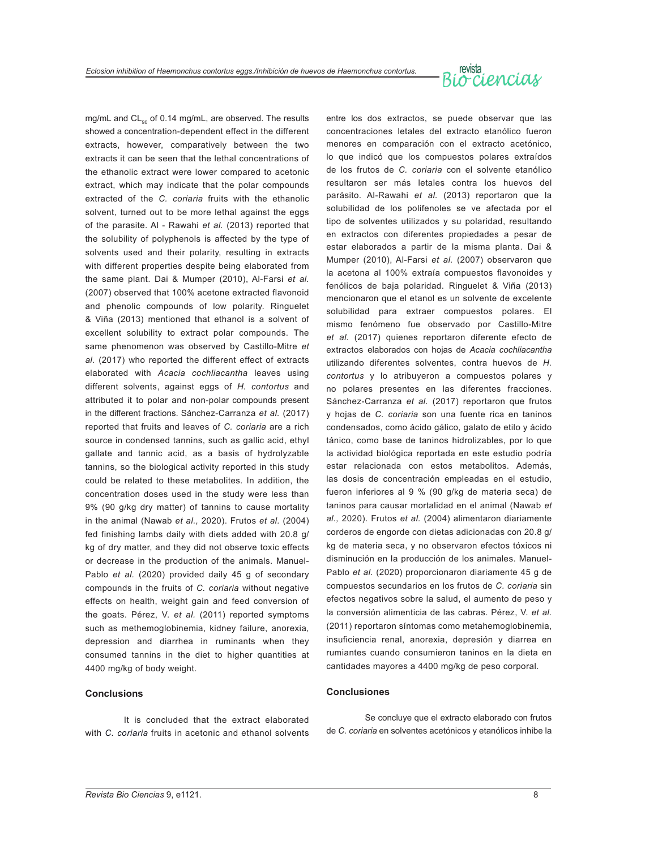

mg/mL and CL<sub>00</sub> of 0.14 mg/mL, are observed. The results showed a concentration-dependent effect in the different extracts, however, comparatively between the two extracts it can be seen that the lethal concentrations of the ethanolic extract were lower compared to acetonic extract, which may indicate that the polar compounds extracted of the *C. coriaria* fruits with the ethanolic solvent, turned out to be more lethal against the eggs of the parasite. Al - Rawahi *et al.* (2013) reported that the solubility of polyphenols is affected by the type of solvents used and their polarity, resulting in extracts with different properties despite being elaborated from the same plant. Dai & Mumper (2010), Al-Farsi *et al.* (2007) observed that 100% acetone extracted flavonoid and phenolic compounds of low polarity. Ringuelet & Viña (2013) mentioned that ethanol is a solvent of excellent solubility to extract polar compounds. The same phenomenon was observed by Castillo-Mitre *et al.* (2017) who reported the different effect of extracts elaborated with *Acacia cochliacantha* leaves using different solvents, against eggs of *H. contortus* and attributed it to polar and non-polar compounds present in the different fractions. Sánchez-Carranza *et al.* (2017) reported that fruits and leaves of *C. coriaria* are a rich source in condensed tannins, such as gallic acid, ethyl gallate and tannic acid, as a basis of hydrolyzable tannins, so the biological activity reported in this study could be related to these metabolites. In addition, the concentration doses used in the study were less than 9% (90 g/kg dry matter) of tannins to cause mortality in the animal (Nawab *et al.,* 2020). Frutos *et al.* (2004) fed finishing lambs daily with diets added with 20.8 g/ kg of dry matter, and they did not observe toxic effects or decrease in the production of the animals. Manuel-Pablo *et al.* (2020) provided daily 45 g of secondary compounds in the fruits of *C. coriaria* without negative effects on health, weight gain and feed conversion of the goats. Pérez, V. *et al.* (2011) reported symptoms such as methemoglobinemia, kidney failure, anorexia, depression and diarrhea in ruminants when they consumed tannins in the diet to higher quantities at 4400 mg/kg of body weight.

#### **Conclusions**

It is concluded that the extract elaborated with *C. coriaria* fruits in acetonic and ethanol solvents entre los dos extractos, se puede observar que las concentraciones letales del extracto etanólico fueron menores en comparación con el extracto acetónico, lo que indicó que los compuestos polares extraídos de los frutos de *C. coriaria* con el solvente etanólico resultaron ser más letales contra los huevos del parásito. Al-Rawahi *et al.* (2013) reportaron que la solubilidad de los polifenoles se ve afectada por el tipo de solventes utilizados y su polaridad, resultando en extractos con diferentes propiedades a pesar de estar elaborados a partir de la misma planta. Dai & Mumper (2010), Al-Farsi *et al.* (2007) observaron que la acetona al 100% extraía compuestos flavonoides y fenólicos de baja polaridad. Ringuelet & Viña (2013) mencionaron que el etanol es un solvente de excelente solubilidad para extraer compuestos polares. El mismo fenómeno fue observado por Castillo-Mitre *et al.* (2017) quienes reportaron diferente efecto de extractos elaborados con hojas de *Acacia cochliacantha* utilizando diferentes solventes, contra huevos de *H. contortus* y lo atribuyeron a compuestos polares y no polares presentes en las diferentes fracciones. Sánchez-Carranza *et al.* (2017) reportaron que frutos y hojas de *C. coriaria* son una fuente rica en taninos condensados, como ácido gálico, galato de etilo y ácido tánico, como base de taninos hidrolizables, por lo que la actividad biológica reportada en este estudio podría estar relacionada con estos metabolitos. Además, las dosis de concentración empleadas en el estudio, fueron inferiores al 9 % (90 g/kg de materia seca) de taninos para causar mortalidad en el animal (Nawab *et al.,* 2020). Frutos *et al.* (2004) alimentaron diariamente corderos de engorde con dietas adicionadas con 20.8 g/ kg de materia seca, y no observaron efectos tóxicos ni disminución en la producción de los animales. Manuel-Pablo *et al.* (2020) proporcionaron diariamente 45 g de compuestos secundarios en los frutos de *C. coriaria* sin efectos negativos sobre la salud, el aumento de peso y la conversión alimenticia de las cabras. Pérez, V. *et al.* (2011) reportaron síntomas como metahemoglobinemia, insuficiencia renal, anorexia, depresión y diarrea en rumiantes cuando consumieron taninos en la dieta en cantidades mayores a 4400 mg/kg de peso corporal.

#### **Conclusiones**

Se concluye que el extracto elaborado con frutos de *C. coriaria* en solventes acetónicos y etanólicos inhibe la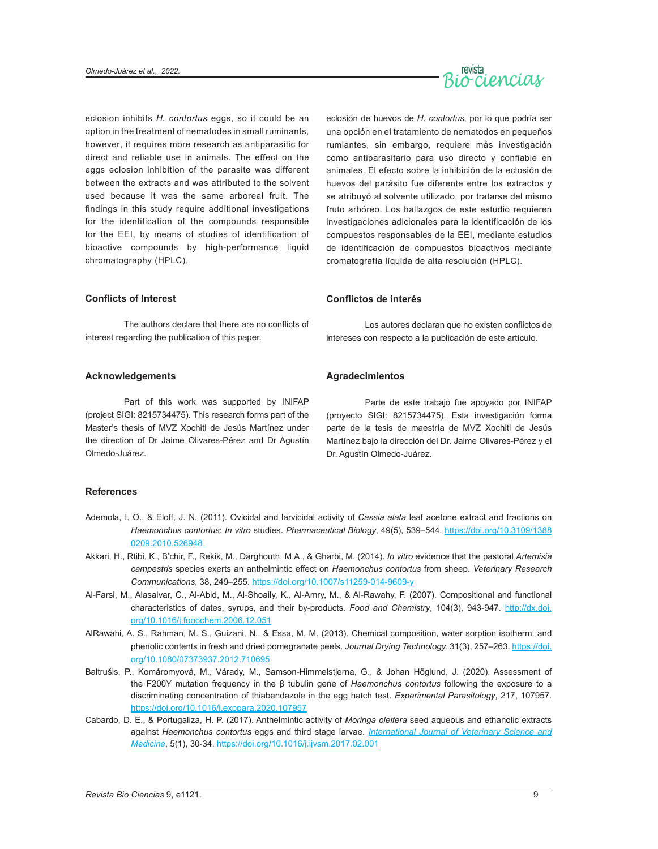

eclosion inhibits *H. contortus* eggs, so it could be an option in the treatment of nematodes in small ruminants, however, it requires more research as antiparasitic for direct and reliable use in animals. The effect on the eggs eclosion inhibition of the parasite was different between the extracts and was attributed to the solvent used because it was the same arboreal fruit. The findings in this study require additional investigations for the identification of the compounds responsible for the EEI, by means of studies of identification of bioactive compounds by high-performance liquid chromatography (HPLC).

#### **Conflicts of Interest**

The authors declare that there are no conflicts of interest regarding the publication of this paper.

#### **Acknowledgements**

Part of this work was supported by INIFAP (project SIGI: 8215734475). This research forms part of the Master's thesis of MVZ Xochitl de Jesús Martínez under the direction of Dr Jaime Olivares-Pérez and Dr Agustín Olmedo-Juárez.

### eclosión de huevos de *H. contortus*, por lo que podría ser una opción en el tratamiento de nematodos en pequeños rumiantes, sin embargo, requiere más investigación como antiparasitario para uso directo y confiable en animales. El efecto sobre la inhibición de la eclosión de huevos del parásito fue diferente entre los extractos y se atribuyó al solvente utilizado, por tratarse del mismo fruto arbóreo. Los hallazgos de este estudio requieren investigaciones adicionales para la identificación de los compuestos responsables de la EEI, mediante estudios de identificación de compuestos bioactivos mediante cromatografía líquida de alta resolución (HPLC).

#### **Conflictos de interés**

Los autores declaran que no existen conflictos de intereses con respecto a la publicación de este artículo.

#### **Agradecimientos**

Parte de este trabajo fue apoyado por INIFAP (proyecto SIGI: 8215734475). Esta investigación forma parte de la tesis de maestría de MVZ Xochitl de Jesús Martínez bajo la dirección del Dr. Jaime Olivares-Pérez y el Dr. Agustín Olmedo-Juárez.

#### **References**

- Ademola, I. O., & Eloff, J. N. (2011). Ovicidal and larvicidal activity of *Cassia alata* leaf acetone extract and fractions on *Haemonchus contortus*: *In vitro* studies. *Pharmaceutical Biology*, 49(5), 539–544. [https://doi.org/10.3109/1388](https://doi.org/10.3109/13880209.2010.526948) [0209.2010.526948](https://doi.org/10.3109/13880209.2010.526948)
- Akkari, H., Rtibi, K., B'chir, F., Rekik, M., Darghouth, M.A., & Gharbi, M. (2014). *In vitro* evidence that the pastoral *Artemisia campestris* species exerts an anthelmintic effect on *Haemonchus contortus* from sheep. *Veterinary Research Communications*, 38, 249–255. <https://doi.org/10.1007/s11259-014-9609-y>
- Al-Farsi, M., Alasalvar, C., Al-Abid, M., Al-Shoaily, K., Al-Amry, M., & Al-Rawahy, F. (2007). Compositional and functional characteristics of dates, syrups, and their by-products. *Food and Chemistry*, 104(3), 943-947. [http://dx.doi.](http://dx.doi.org/10.1016/j.foodchem.2006.12.051) [org/10.1016/j.foodchem.2006.12.051](http://dx.doi.org/10.1016/j.foodchem.2006.12.051)
- AlRawahi, A. S., Rahman, M. S., Guizani, N., & Essa, M. M. (2013). Chemical composition, water sorption isotherm, and phenolic contents in fresh and dried pomegranate peels. *Journal Drying Technology,* 31(3), 257–263. [https://doi.](https://doi.org/10.1080/07373937.2012.710695) [org/10.1080/07373937.2012.710695](https://doi.org/10.1080/07373937.2012.710695)
- Baltrušis, P., Komáromyová, M., Várady, M., Samson-Himmelstjerna, G., & Johan Höglund, J. (2020). Assessment of the F200Y mutation frequency in the β tubulin gene of *Haemonchus contortus* following the exposure to a discriminating concentration of thiabendazole in the egg hatch test. *Experimental Parasitology*, 217, 107957. <https://doi.org/10.1016/j.exppara.2020.107957>
- Cabardo, D. E., & Portugaliza, H. P. (2017). Anthelmintic activity of *Moringa oleifera* seed aqueous and ethanolic extracts against *Haemonchus contortus* eggs and third stage larvae. *[International Journal of Veterinary Science and](https://www.sciencedirect.com/science/journal/23144599)  [Medicine](https://www.sciencedirect.com/science/journal/23144599)*, 5(1), 30-34. <https://doi.org/10.1016/j.ijvsm.2017.02.001>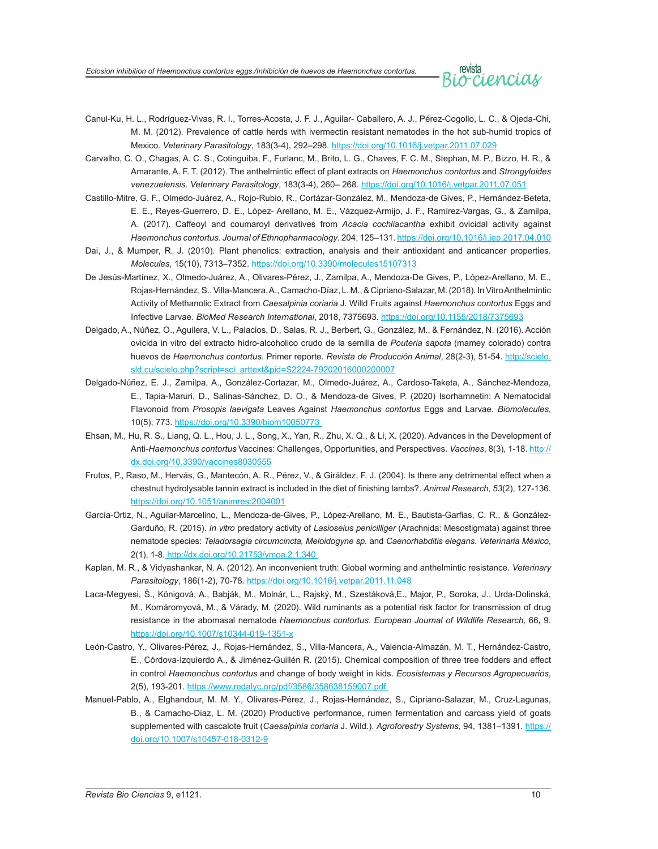*Eclosion inhibition of Haemonchus contortus eggs./Inhibición de huevos de Haemonchus contortus.*

- Canul-Ku, H. L., Rodríguez-Vivas, R. I., Torres-Acosta, J. F. J., Aguilar- Caballero, A. J., Pérez-Cogollo, L. C., & Ojeda-Chi, M. M. (2012). Prevalence of cattle herds with ivermectin resistant nematodes in the hot sub-humid tropics of Mexico. *Veterinary Parasitology*, 183(3-4), 292–298. <https://doi.org/10.1016/j.vetpar.2011.07.029>
- Carvalho, C. O., Chagas, A. C. S., Cotinguiba, F., Furlanc, M., Brito, L. G., Chaves, F. C. M., Stephan, M. P., Bizzo, H. R., & Amarante, A. F. T. (2012). The anthelmintic effect of plant extracts on *Haemonchus contortus* and *Strongyloides venezuelensis*. *Veterinary Parasitology*, 183(3-4), 260– 268.<https://doi.org/10.1016/j.vetpar.2011.07.051>
- Castillo-Mitre, G. F., Olmedo-Juárez, A., Rojo-Rubio, R., Cortázar-González, M., Mendoza-de Gives, P., Hernández-Beteta, E. E., Reyes-Guerrero, D. E., López- Arellano, M. E., Vázquez-Armijo, J. F., Ramírez-Vargas, G., & Zamilpa, A. (2017). Caffeoyl and coumaroyl derivatives from *Acacia cochliacantha* exhibit ovicidal activity against *Haemonchus contortus*. *Journal of Ethnopharmacology*. 204, 125–131.<https://doi.org/10.1016/j.jep.2017.04.010>
- Dai, J., & Mumper, R. J. (2010). Plant phenolics: extraction, analysis and their antioxidant and anticancer properties. *Molecules*, 15(10), 7313–7352.<https://doi.org/10.3390/molecules15107313>
- De Jesús-Martínez, X., Olmedo-Juárez, A., Olivares-Pérez, J., Zamilpa, A., Mendoza-De Gives, P., López-Arellano, M. E., Rojas-Hernández, S., Villa-Mancera, A., Camacho-Díaz, L. M., & Cipriano-Salazar, M. (2018). In Vitro Anthelmintic Activity of Methanolic Extract from *Caesalpinia coriaria* J. Willd Fruits against *Haemonchus contortus* Eggs and Infective Larvae. *BioMed Research International*, 2018, 7375693. <https://doi.org/10.1155/2018/7375693>
- Delgado, A., Núñez, O., Aguilera, V. L., Palacios, D., Salas, R. J., Berbert, G., González, M., & Fernández, N. (2016). Acción ovicida in vitro del extracto hidro-alcoholico crudo de la semilla de *Pouteria sapota* (mamey colorado) contra huevos de *Haemonchus contortus*. Primer reporte. *Revista de Producción Animal*, 28(2-3), 51-54. [http://scielo.](http://scielo.sld.cu/scielo.php?script=sci_arttext&pid=S2224-79202016000200007) [sld.cu/scielo.php?script=sci\\_arttext&pid=S2224-79202016000200007](http://scielo.sld.cu/scielo.php?script=sci_arttext&pid=S2224-79202016000200007)
- Delgado-Núñez, E. J., Zamilpa, A., González-Cortazar, M., Olmedo-Juárez, A., Cardoso-Taketa, A., Sánchez-Mendoza, E., Tapia-Maruri, D., Salinas-Sánchez, D. O., & Mendoza-de Gives, P. (2020) Isorhamnetin: A Nematocidal Flavonoid from *Prosopis laevigata* Leaves Against *Haemonchus contortus* Eggs and Larvae. *Biomolecules*, 10(5), 773. <https://doi.org/10.3390/biom10050773>
- Ehsan, M., Hu, R. S., Liang, Q. L., Hou, J. L., Song, X., Yan, R., Zhu, X. Q., & Li, X. (2020). Advances in the Development of Anti-*Haemonchus contortus* Vaccines: Challenges, Opportunities, and Perspectives. *Vaccines*, 8(3), 1-18. [http://](http://dx.doi.org/10.3390/vaccines8030555) [dx.doi.org/10.3390/vaccines8030555](http://dx.doi.org/10.3390/vaccines8030555)
- Frutos, P., Raso, M., Hervás, G., Mantecón, A. R., Pérez, V., & Giráldez, F. J. (2004). Is there any detrimental effect when a chestnut hydrolysable tannin extract is included in the diet of finishing lambs?. *Animal Research, 53*(2), 127-136. <https://doi.org/10.1051/animres:2004001>
- García-Ortiz, N., Aguilar-Marcelino, L., Mendoza-de-Gives, P., López-Arellano, M. E., Bautista-Garfias, C. R., & González-Garduño, R. (2015). *In vitro* predatory activity of *Lasioseius penicilliger* (Arachnida: Mesostigmata) against three nematode species: *Teladorsagia circumcincta, Meloidogyne sp.* and *Caenorhabditis elegans*. *Veterinaria México*, 2(1), 1-8. <http://dx.doi.org/10.21753/vmoa.2.1.340>
- Kaplan, M. R., & Vidyashankar, N. A. (2012). An inconvenient truth: Global worming and anthelmintic resistance. *Veterinary Parasitology*, 186(1-2), 70-78. <https://doi.org/10.1016/j.vetpar.2011.11.048>
- Laca-Megyesi, Š., Königová, A., Babják, M., Molnár, L., Rajský, M., Szestáková,E., Major, P., Soroka, J., Urda-Dolinská, M., Komáromyová, M., & Várady, M*.* (2020). Wild ruminants as a potential risk factor for transmission of drug resistance in the abomasal nematode *Haemonchus contortus*. *European Journal of Wildlife Research,* 66**,** 9. <https://doi.org/10.1007/s10344-019-1351-x>
- León-Castro, Y., Olivares-Pérez, J., Rojas-Hernández, S., Villa-Mancera, A., Valencia-Almazán, M. T., Hernández-Castro, E., Córdova-Izquierdo A., & Jiménez-Guillén R. (2015). Chemical composition of three tree fodders and effect in control *Haemonchus contortus* and change of body weight in kids. *Ecosistemas y Recursos Agropecuarios*, 2(5), 193-201.<https://www.redalyc.org/pdf/3586/358638159007.pdf>
- Manuel-Pablo, A., Elghandour, M. M. Y., Olivares-Pérez, J., Rojas-Hernández, S., Cipriano-Salazar, M., Cruz-Lagunas, B., & Camacho-Diaz, L. M. (2020) Productive performance, rumen fermentation and carcass yield of goats supplemented with cascalote fruit (*Caesalpinia coriaria* J. Wild.). *Agroforestry Systems,* 94, 1381–1391. [https://](https://doi.org/10.1007/s10457-018-0312-9) [doi.org/10.1007/s10457-018-0312-9](https://doi.org/10.1007/s10457-018-0312-9)